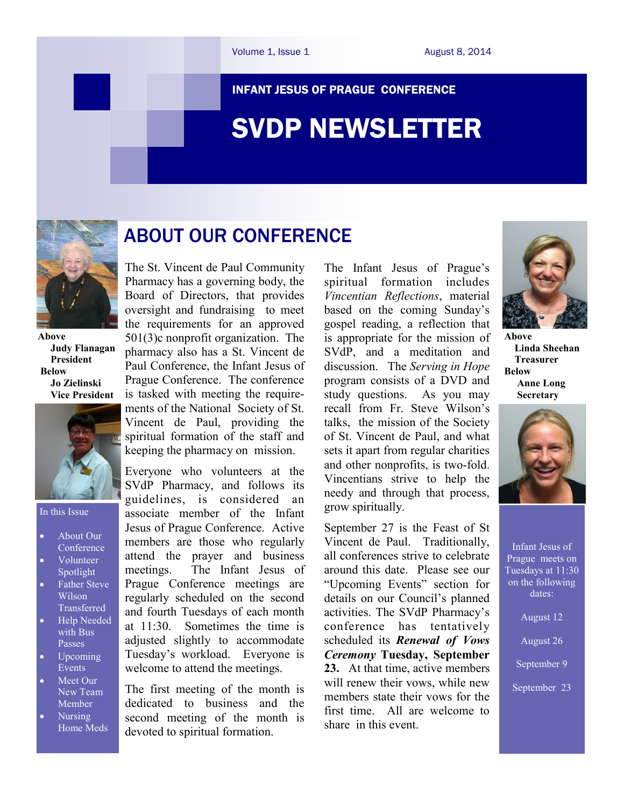#### INFANT JESUS OF PRAGUE CONFERENCE

# SVDP NEWSLETTER



**Above Judy Flanagan President Below Jo Zielinski Vice President** 



#### In this Issue

- About Our **Conference**
- Volunteer Spotlight
- Father Steve Wilson **Transferred**
- Help Needed with Bus Passes
- Upcoming Events
- Meet Our New Team Member
- Nursing Home Meds

The St. Vincent de Paul Community Pharmacy has a governing body, the Board of Directors, that provides oversight and fundraising to meet the requirements for an approved 501(3)c nonprofit organization. The pharmacy also has a St. Vincent de Paul Conference, the Infant Jesus of Prague Conference. The conference is tasked with meeting the requirements of the National Society of St. Vincent de Paul, providing the spiritual formation of the staff and keeping the pharmacy on mission.

ABOUT OUR CONFERENCE

Everyone who volunteers at the SVdP Pharmacy, and follows its guidelines, is considered an associate member of the Infant Jesus of Prague Conference. Active members are those who regularly attend the prayer and business meetings. The Infant Jesus of Prague Conference meetings are regularly scheduled on the second and fourth Tuesdays of each month at 11:30. Sometimes the time is adjusted slightly to accommodate Tuesday's workload. Everyone is welcome to attend the meetings.

The first meeting of the month is dedicated to business and the second meeting of the month is devoted to spiritual formation.

The Infant Jesus of Prague's spiritual formation includes *Vincentian Reflections*, material based on the coming Sunday's gospel reading, a reflection that is appropriate for the mission of SVdP, and a meditation and discussion. The *Serving in Hope* program consists of a DVD and study questions. As you may recall from Fr. Steve Wilson's talks, the mission of the Society of St. Vincent de Paul, and what sets it apart from regular charities and other nonprofits, is two-fold. Vincentians strive to help the needy and through that process, grow spiritually.

September 27 is the Feast of St Vincent de Paul. Traditionally, all conferences strive to celebrate around this date. Please see our "Upcoming Events" section for details on our Council's planned activities. The SVdP Pharmacy's conference has tentatively scheduled its *Renewal of Vows Ceremony* **Tuesday, September 23.** At that time, active members will renew their vows, while new members state their vows for the first time. All are welcome to share in this event.



**Above Linda Sheehan Treasurer Below Anne Long Secretary**



Infant Jesus of Prague meets on Tuesdays at 11:30 on the following dates:

August 12

August 26

September 9

September 23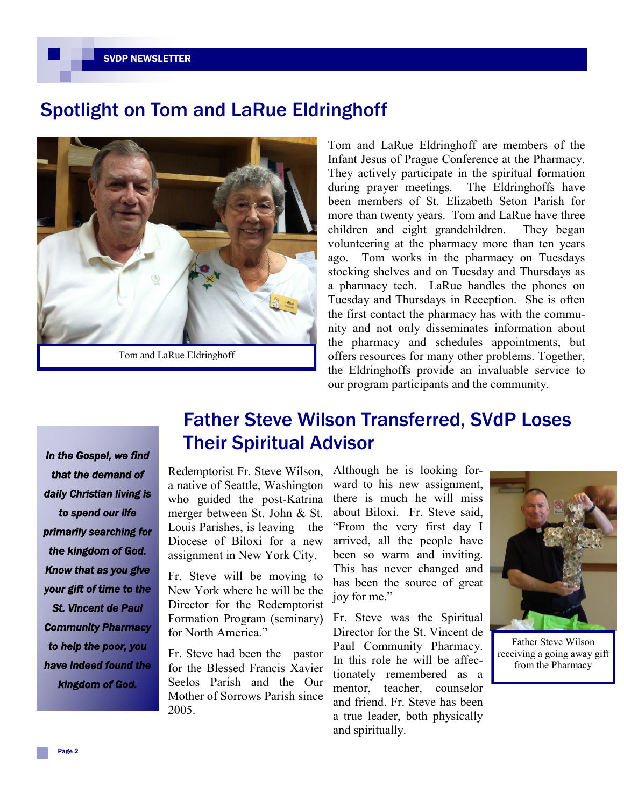#### SVDP NEWSLETTER

## Spotlight on Tom and LaRue Eldringhoff



Tom and LaRue Eldringhoff are members of the Infant Jesus of Prague Conference at the Pharmacy. They actively participate in the spiritual formation during prayer meetings. The Eldringhoffs have been members of St. Elizabeth Seton Parish for more than twenty years. Tom and LaRue have three children and eight grandchildren. They began volunteering at the pharmacy more than ten years ago. Tom works in the pharmacy on Tuesdays stocking shelves and on Tuesday and Thursdays as a pharmacy tech. LaRue handles the phones on Tuesday and Thursdays in Reception. She is often the first contact the pharmacy has with the community and not only disseminates information about the pharmacy and schedules appointments, but offers resources for many other problems. Together, the Eldringhoffs provide an invaluable service to our program participants and the community.

*In the Gospel, we find that the demand of daily Christian living is to spend our life primarily searching for the kingdom of God. Know that as you give your gift of time to the St. Vincent de Paul Community Pharmacy to help the poor, you have indeed found the kingdom of God.* 

# Father Steve Wilson Transferred, SVdP Loses Their Spiritual Advisor

Redemptorist Fr. Steve Wilson, a native of Seattle, Washington who guided the post-Katrina merger between St. John & St. Louis Parishes, is leaving the Diocese of Biloxi for a new assignment in New York City. Ì

Fr. Steve will be moving to New York where he will be the Director for the Redemptorist Formation Program (seminary) for North America."

Fr. Steve had been the pastor for the Blessed Francis Xavier Seelos Parish and the Our Mother of Sorrows Parish since 2005.

Although he is looking forward to his new assignment. there is much he will miss about Biloxi. Fr. Steve said, "From the very first day I arrived, all the people have been so warm and inviting. This has never changed and has been the source of great joy for me."

Fr. Steve was the Spiritual Director for the St. Vincent de Paul Community Pharmacy. In this role he will be affectionately remembered as a mentor, teacher, counselor and friend. Fr. Steve has been a true leader, both physically and spiritually.



Father Steve Wilson receiving a going away gift from the Pharmacy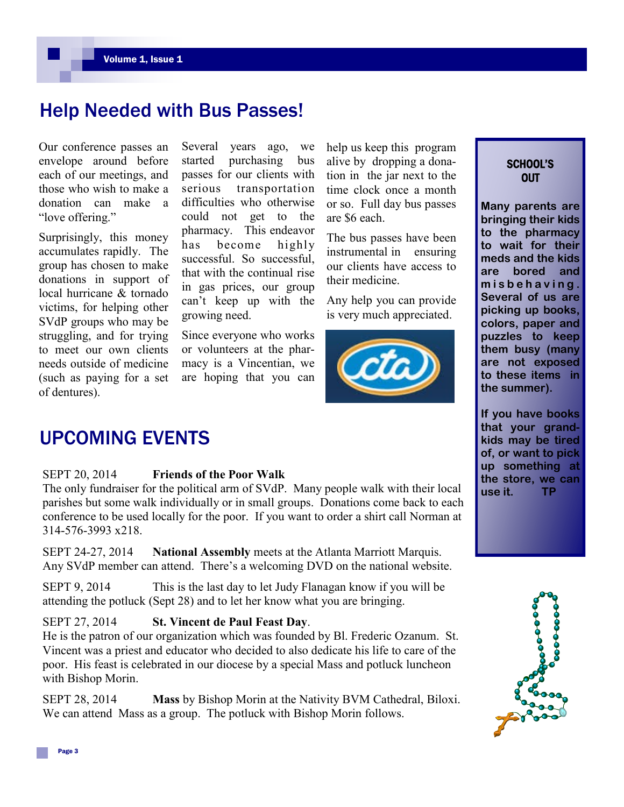### Help Needed with Bus Passes!

Our conference passes an envelope around before each of our meetings, and those who wish to make a donation can make a "love offering."

Surprisingly, this money accumulates rapidly. The group has chosen to make donations in support of local hurricane & tornado victims, for helping other SVdP groups who may be struggling, and for trying to meet our own clients needs outside of medicine (such as paying for a set of dentures).

Several years ago, we started purchasing bus passes for our clients with serious transportation difficulties who otherwise could not get to the pharmacy. This endeavor has become highly successful. So successful, that with the continual rise in gas prices, our group can't keep up with the growing need.

Since everyone who works or volunteers at the pharmacy is a Vincentian, we are hoping that you can help us keep this program alive by dropping a donation in the jar next to the time clock once a month or so. Full day bus passes are \$6 each.

The bus passes have been instrumental in ensuring our clients have access to their medicine.

Any help you can provide is very much appreciated.



### SCHOOL'S **OUT**

**Many parents are bringing their kids to the pharmacy to wait for their meds and the kids are bored and m i s b e h a v i n g . Several of us are picking up books, colors, paper and puzzles to keep them busy (many are not exposed to these items in the summer).**

**If you have books that your grandkids may be tired of, or want to pick up something at the store, we can use it. TP**



### UPCOMING EVENTS

#### SEPT 20, 2014 **Friends of the Poor Walk**

The only fundraiser for the political arm of SVdP. Many people walk with their local parishes but some walk individually or in small groups. Donations come back to each conference to be used locally for the poor. If you want to order a shirt call Norman at 314-576-3993 x218.

SEPT 24-27, 2014 **National Assembly** meets at the Atlanta Marriott Marquis. Any SVdP member can attend. There's a welcoming DVD on the national website.

SEPT 9, 2014 This is the last day to let Judy Flanagan know if you will be attending the potluck (Sept 28) and to let her know what you are bringing.

### SEPT 27, 2014 **St. Vincent de Paul Feast Day**.

He is the patron of our organization which was founded by Bl. Frederic Ozanum. St. Vincent was a priest and educator who decided to also dedicate his life to care of the poor. His feast is celebrated in our diocese by a special Mass and potluck luncheon with Bishop Morin.

SEPT 28, 2014 **Mass** by Bishop Morin at the Nativity BVM Cathedral, Biloxi. We can attend Mass as a group. The potluck with Bishop Morin follows.